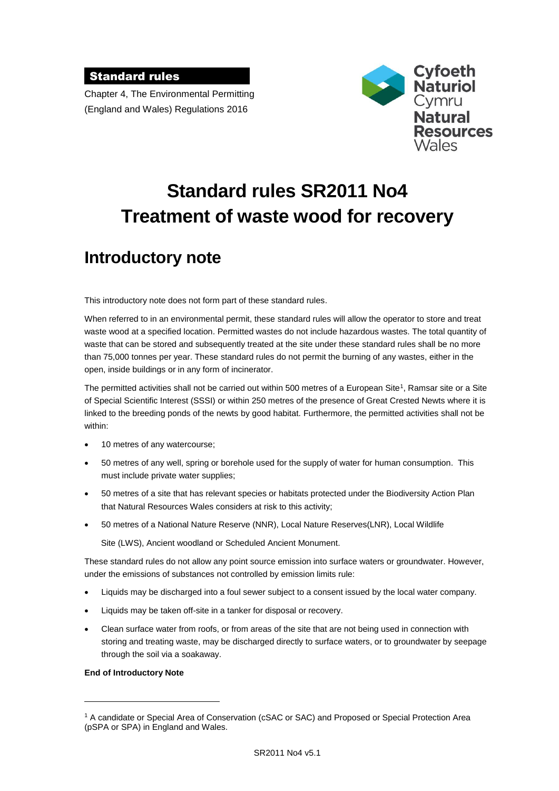### Standard rules

Chapter 4, The Environmental Permitting (England and Wales) Regulations 2016



# **Standard rules SR2011 No4 Treatment of waste wood for recovery**

## **Introductory note**

This introductory note does not form part of these standard rules.

When referred to in an environmental permit, these standard rules will allow the operator to store and treat waste wood at a specified location. Permitted wastes do not include hazardous wastes. The total quantity of waste that can be stored and subsequently treated at the site under these standard rules shall be no more than 75,000 tonnes per year. These standard rules do not permit the burning of any wastes, either in the open, inside buildings or in any form of incinerator.

The permitted activities shall not be carried out within 500 metres of a European Site<sup>1</sup>, Ramsar site or a Site of Special Scientific Interest (SSSI) or within 250 metres of the presence of Great Crested Newts where it is linked to the breeding ponds of the newts by good habitat. Furthermore, the permitted activities shall not be within:

- 10 metres of any watercourse;
- 50 metres of any well, spring or borehole used for the supply of water for human consumption. This must include private water supplies;
- 50 metres of a site that has relevant species or habitats protected under the Biodiversity Action Plan that Natural Resources Wales considers at risk to this activity;
- 50 metres of a National Nature Reserve (NNR), Local Nature Reserves(LNR), Local Wildlife

Site (LWS), Ancient woodland or Scheduled Ancient Monument.

These standard rules do not allow any point source emission into surface waters or groundwater. However, under the emissions of substances not controlled by emission limits rule:

- Liquids may be discharged into a foul sewer subject to a consent issued by the local water company.
- Liquids may be taken off-site in a tanker for disposal or recovery.
- Clean surface water from roofs, or from areas of the site that are not being used in connection with storing and treating waste, may be discharged directly to surface waters, or to groundwater by seepage through the soil via a soakaway.

#### **End of Introductory Note**

1

<sup>1</sup> A candidate or Special Area of Conservation (cSAC or SAC) and Proposed or Special Protection Area (pSPA or SPA) in England and Wales.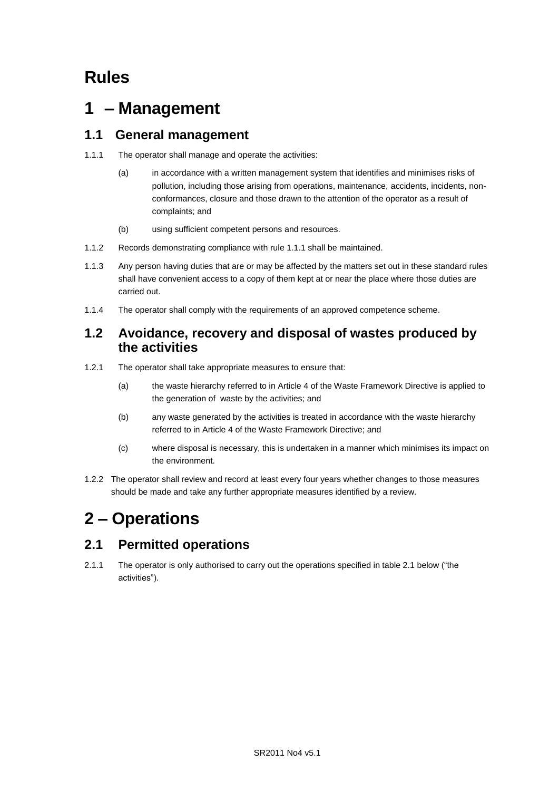## **Rules**

## **1 – Management**

## **1.1 General management**

- 1.1.1 The operator shall manage and operate the activities:
	- (a) in accordance with a written management system that identifies and minimises risks of pollution, including those arising from operations, maintenance, accidents, incidents, nonconformances, closure and those drawn to the attention of the operator as a result of complaints; and
	- (b) using sufficient competent persons and resources.
- 1.1.2 Records demonstrating compliance with rule 1.1.1 shall be maintained.
- 1.1.3 Any person having duties that are or may be affected by the matters set out in these standard rules shall have convenient access to a copy of them kept at or near the place where those duties are carried out.
- 1.1.4 The operator shall comply with the requirements of an approved competence scheme.

### **1.2 Avoidance, recovery and disposal of wastes produced by the activities**

- 1.2.1 The operator shall take appropriate measures to ensure that:
	- (a) the waste hierarchy referred to in Article 4 of the Waste Framework Directive is applied to the generation of waste by the activities; and
	- (b) any waste generated by the activities is treated in accordance with the waste hierarchy referred to in Article 4 of the Waste Framework Directive; and
	- (c) where disposal is necessary, this is undertaken in a manner which minimises its impact on the environment.
- 1.2.2 The operator shall review and record at least every four years whether changes to those measures should be made and take any further appropriate measures identified by a review.

## **2 – Operations**

## **2.1 Permitted operations**

2.1.1 The operator is only authorised to carry out the operations specified in table 2.1 below ("the activities").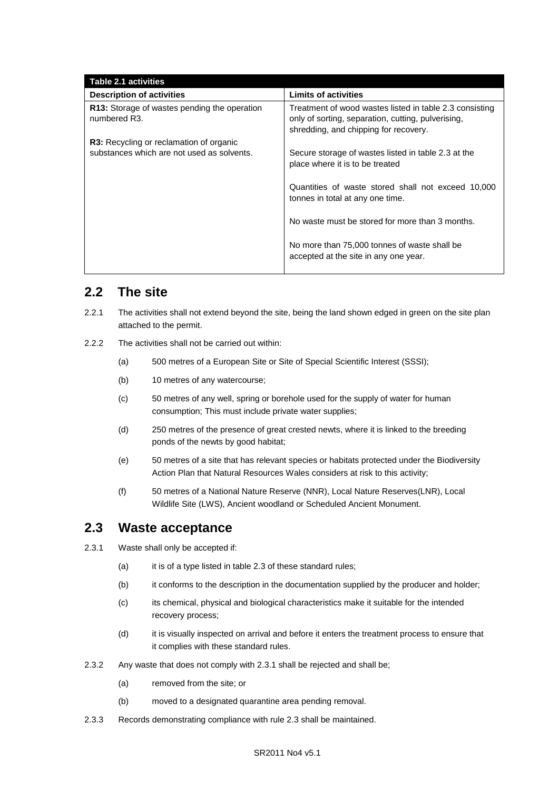| Table 2.1 activities                                                      |                                                                                                                                                        |
|---------------------------------------------------------------------------|--------------------------------------------------------------------------------------------------------------------------------------------------------|
| <b>Description of activities</b>                                          | <b>Limits of activities</b>                                                                                                                            |
| R13: Storage of wastes pending the operation<br>numbered R <sub>3</sub> . | Treatment of wood wastes listed in table 2.3 consisting<br>only of sorting, separation, cutting, pulverising,<br>shredding, and chipping for recovery. |
| <b>R3:</b> Recycling or reclamation of organic                            |                                                                                                                                                        |
| substances which are not used as solvents.                                | Secure storage of wastes listed in table 2.3 at the<br>place where it is to be treated                                                                 |
|                                                                           | Quantities of waste stored shall not exceed 10,000<br>tonnes in total at any one time.                                                                 |
|                                                                           | No waste must be stored for more than 3 months.                                                                                                        |
|                                                                           | No more than 75,000 tonnes of waste shall be<br>accepted at the site in any one year.                                                                  |

## **2.2 The site**

- 2.2.1 The activities shall not extend beyond the site, being the land shown edged in green on the site plan attached to the permit.
- 2.2.2 The activities shall not be carried out within:
	- (a) 500 metres of a European Site or Site of Special Scientific Interest (SSSI);
	- (b) 10 metres of any watercourse;
	- (c) 50 metres of any well, spring or borehole used for the supply of water for human consumption; This must include private water supplies;
	- (d) 250 metres of the presence of great crested newts, where it is linked to the breeding ponds of the newts by good habitat;
	- (e) 50 metres of a site that has relevant species or habitats protected under the Biodiversity Action Plan that Natural Resources Wales considers at risk to this activity;
	- (f) 50 metres of a National Nature Reserve (NNR), Local Nature Reserves(LNR), Local Wildlife Site (LWS), Ancient woodland or Scheduled Ancient Monument.

#### **2.3 Waste acceptance**

- 2.3.1 Waste shall only be accepted if:
	- (a) it is of a type listed in table 2.3 of these standard rules;
	- (b) it conforms to the description in the documentation supplied by the producer and holder;
	- (c) its chemical, physical and biological characteristics make it suitable for the intended recovery process;
	- (d) it is visually inspected on arrival and before it enters the treatment process to ensure that it complies with these standard rules.
- 2.3.2 Any waste that does not comply with 2.3.1 shall be rejected and shall be;
	- (a) removed from the site; or
	- (b) moved to a designated quarantine area pending removal.
- 2.3.3 Records demonstrating compliance with rule 2.3 shall be maintained.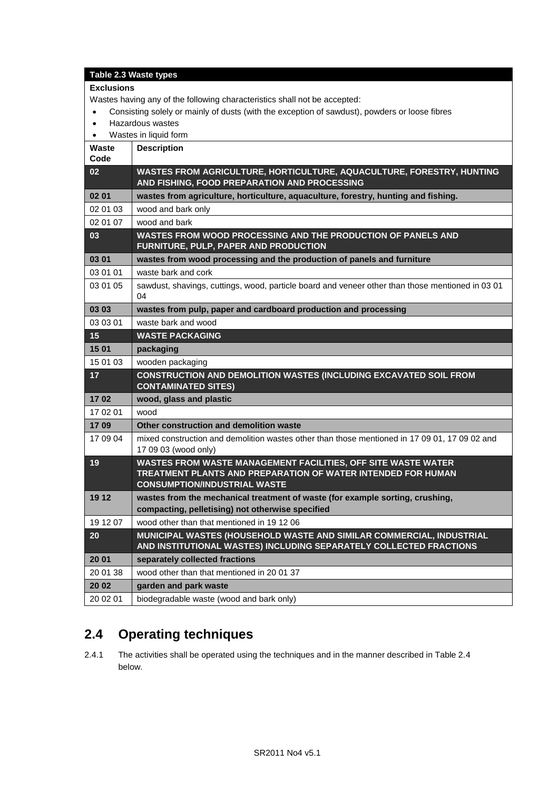#### **Table 2.3 Waste types**

#### **Exclusions**

Wastes having any of the following characteristics shall not be accepted:

- Consisting solely or mainly of dusts (with the exception of sawdust), powders or loose fibres
- Hazardous wastes
- Wastes in liquid form

| Waste<br>Code | <b>Description</b>                                                                                                                                                          |
|---------------|-----------------------------------------------------------------------------------------------------------------------------------------------------------------------------|
| 02            | WASTES FROM AGRICULTURE, HORTICULTURE, AQUACULTURE, FORESTRY, HUNTING<br>AND FISHING, FOOD PREPARATION AND PROCESSING                                                       |
| 02 01         | wastes from agriculture, horticulture, aquaculture, forestry, hunting and fishing.                                                                                          |
| 02 01 03      | wood and bark only                                                                                                                                                          |
| 02 01 07      | wood and bark                                                                                                                                                               |
| 03            | WASTES FROM WOOD PROCESSING AND THE PRODUCTION OF PANELS AND<br>FURNITURE, PULP, PAPER AND PRODUCTION                                                                       |
| 03 01         | wastes from wood processing and the production of panels and furniture                                                                                                      |
| 03 01 01      | waste bark and cork                                                                                                                                                         |
| 03 01 05      | sawdust, shavings, cuttings, wood, particle board and veneer other than those mentioned in 03 01<br>04                                                                      |
| 03 03         | wastes from pulp, paper and cardboard production and processing                                                                                                             |
| 03 03 01      | waste bark and wood                                                                                                                                                         |
| 15            | <b>WASTE PACKAGING</b>                                                                                                                                                      |
| 15 01         | packaging                                                                                                                                                                   |
| 15 01 03      | wooden packaging                                                                                                                                                            |
| 17            | <b>CONSTRUCTION AND DEMOLITION WASTES (INCLUDING EXCAVATED SOIL FROM</b><br><b>CONTAMINATED SITES)</b>                                                                      |
| 1702          | wood, glass and plastic                                                                                                                                                     |
| 17 02 01      | wood                                                                                                                                                                        |
| 1709          | Other construction and demolition waste                                                                                                                                     |
| 17 09 04      | mixed construction and demolition wastes other than those mentioned in 17 09 01, 17 09 02 and<br>17 09 03 (wood only)                                                       |
| 19            | WASTES FROM WASTE MANAGEMENT FACILITIES, OFF SITE WASTE WATER<br><b>TREATMENT PLANTS AND PREPARATION OF WATER INTENDED FOR HUMAN</b><br><b>CONSUMPTION/INDUSTRIAL WASTE</b> |
| 19 12         | wastes from the mechanical treatment of waste (for example sorting, crushing,<br>compacting, pelletising) not otherwise specified                                           |
| 19 12 07      | wood other than that mentioned in 19 12 06                                                                                                                                  |
| 20            | MUNICIPAL WASTES (HOUSEHOLD WASTE AND SIMILAR COMMERCIAL, INDUSTRIAL<br>AND INSTITUTIONAL WASTES) INCLUDING SEPARATELY COLLECTED FRACTIONS                                  |
| 20 01         | separately collected fractions                                                                                                                                              |
| 20 01 38      | wood other than that mentioned in 2001 37                                                                                                                                   |
| 20 02         | garden and park waste                                                                                                                                                       |
| 20 02 01      | biodegradable waste (wood and bark only)                                                                                                                                    |

## **2.4 Operating techniques**

2.4.1 The activities shall be operated using the techniques and in the manner described in Table 2.4 below.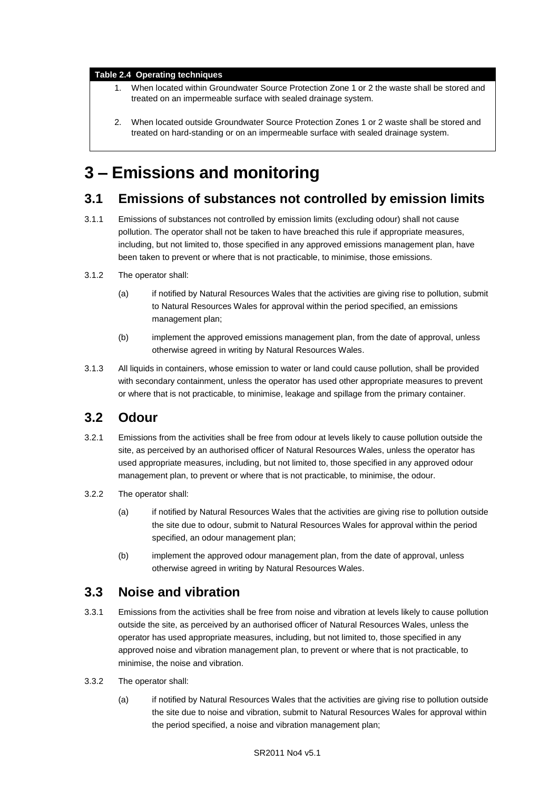#### **Table 2.4 Operating techniques**

- 1. When located within Groundwater Source Protection Zone 1 or 2 the waste shall be stored and treated on an impermeable surface with sealed drainage system.
- 2. When located outside Groundwater Source Protection Zones 1 or 2 waste shall be stored and treated on hard-standing or on an impermeable surface with sealed drainage system.

## **3 – Emissions and monitoring**

### **3.1 Emissions of substances not controlled by emission limits**

- 3.1.1 Emissions of substances not controlled by emission limits (excluding odour) shall not cause pollution. The operator shall not be taken to have breached this rule if appropriate measures, including, but not limited to, those specified in any approved emissions management plan, have been taken to prevent or where that is not practicable, to minimise, those emissions.
- 3.1.2 The operator shall:
	- (a) if notified by Natural Resources Wales that the activities are giving rise to pollution, submit to Natural Resources Wales for approval within the period specified, an emissions management plan;
	- (b) implement the approved emissions management plan, from the date of approval, unless otherwise agreed in writing by Natural Resources Wales.
- 3.1.3 All liquids in containers, whose emission to water or land could cause pollution, shall be provided with secondary containment, unless the operator has used other appropriate measures to prevent or where that is not practicable, to minimise, leakage and spillage from the primary container.

## **3.2 Odour**

- 3.2.1 Emissions from the activities shall be free from odour at levels likely to cause pollution outside the site, as perceived by an authorised officer of Natural Resources Wales, unless the operator has used appropriate measures, including, but not limited to, those specified in any approved odour management plan, to prevent or where that is not practicable, to minimise, the odour.
- 3.2.2 The operator shall:
	- (a) if notified by Natural Resources Wales that the activities are giving rise to pollution outside the site due to odour, submit to Natural Resources Wales for approval within the period specified, an odour management plan;
	- (b) implement the approved odour management plan, from the date of approval, unless otherwise agreed in writing by Natural Resources Wales.

### **3.3 Noise and vibration**

- 3.3.1 Emissions from the activities shall be free from noise and vibration at levels likely to cause pollution outside the site, as perceived by an authorised officer of Natural Resources Wales, unless the operator has used appropriate measures, including, but not limited to, those specified in any approved noise and vibration management plan, to prevent or where that is not practicable, to minimise, the noise and vibration.
- 3.3.2 The operator shall:
	- (a) if notified by Natural Resources Wales that the activities are giving rise to pollution outside the site due to noise and vibration, submit to Natural Resources Wales for approval within the period specified, a noise and vibration management plan;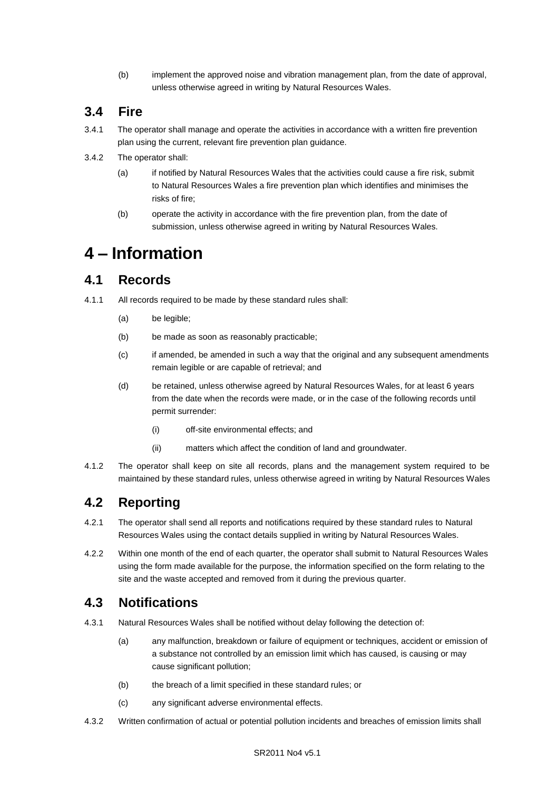(b) implement the approved noise and vibration management plan, from the date of approval, unless otherwise agreed in writing by Natural Resources Wales.

## **3.4 Fire**

- 3.4.1 The operator shall manage and operate the activities in accordance with a written fire prevention plan using the current, relevant fire prevention plan guidance.
- 3.4.2 The operator shall:
	- (a) if notified by Natural Resources Wales that the activities could cause a fire risk, submit to Natural Resources Wales a fire prevention plan which identifies and minimises the risks of fire;
	- (b) operate the activity in accordance with the fire prevention plan, from the date of submission, unless otherwise agreed in writing by Natural Resources Wales.

## **4 – Information**

## **4.1 Records**

- 4.1.1 All records required to be made by these standard rules shall:
	- (a) be legible;
	- (b) be made as soon as reasonably practicable;
	- (c) if amended, be amended in such a way that the original and any subsequent amendments remain legible or are capable of retrieval; and
	- (d) be retained, unless otherwise agreed by Natural Resources Wales, for at least 6 years from the date when the records were made, or in the case of the following records until permit surrender:
		- (i) off-site environmental effects; and
		- (ii) matters which affect the condition of land and groundwater.
- 4.1.2 The operator shall keep on site all records, plans and the management system required to be maintained by these standard rules, unless otherwise agreed in writing by Natural Resources Wales

## **4.2 Reporting**

- 4.2.1 The operator shall send all reports and notifications required by these standard rules to Natural Resources Wales using the contact details supplied in writing by Natural Resources Wales.
- 4.2.2 Within one month of the end of each quarter, the operator shall submit to Natural Resources Wales using the form made available for the purpose, the information specified on the form relating to the site and the waste accepted and removed from it during the previous quarter.

### **4.3 Notifications**

- 4.3.1 Natural Resources Wales shall be notified without delay following the detection of:
	- (a) any malfunction, breakdown or failure of equipment or techniques, accident or emission of a substance not controlled by an emission limit which has caused, is causing or may cause significant pollution;
	- (b) the breach of a limit specified in these standard rules; or
	- (c) any significant adverse environmental effects.
- 4.3.2 Written confirmation of actual or potential pollution incidents and breaches of emission limits shall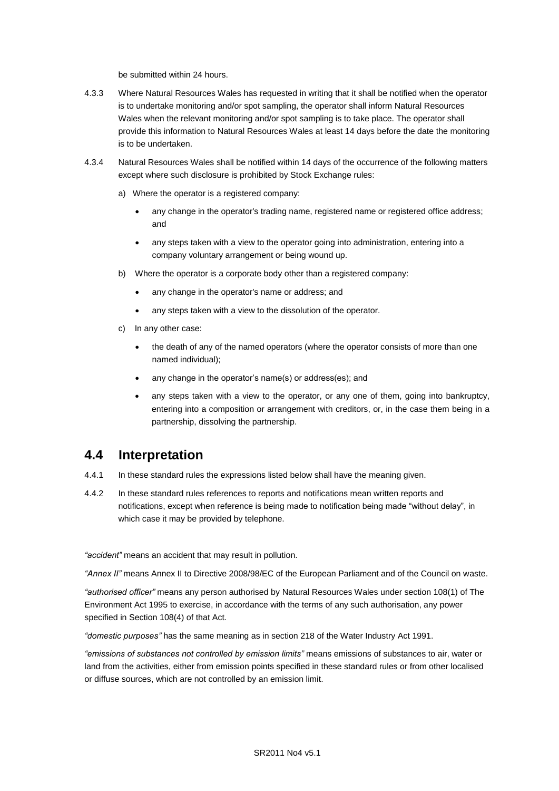be submitted within 24 hours.

- 4.3.3 Where Natural Resources Wales has requested in writing that it shall be notified when the operator is to undertake monitoring and/or spot sampling, the operator shall inform Natural Resources Wales when the relevant monitoring and/or spot sampling is to take place. The operator shall provide this information to Natural Resources Wales at least 14 days before the date the monitoring is to be undertaken.
- 4.3.4 Natural Resources Wales shall be notified within 14 days of the occurrence of the following matters except where such disclosure is prohibited by Stock Exchange rules:
	- a) Where the operator is a registered company:
		- any change in the operator's trading name, registered name or registered office address; and
		- any steps taken with a view to the operator going into administration, entering into a company voluntary arrangement or being wound up.
	- b) Where the operator is a corporate body other than a registered company:
		- any change in the operator's name or address; and
		- any steps taken with a view to the dissolution of the operator.
	- c) In any other case:
		- the death of any of the named operators (where the operator consists of more than one named individual);
		- any change in the operator's name(s) or address(es); and
		- any steps taken with a view to the operator, or any one of them, going into bankruptcy, entering into a composition or arrangement with creditors, or, in the case them being in a partnership, dissolving the partnership.

### **4.4 Interpretation**

- 4.4.1 In these standard rules the expressions listed below shall have the meaning given.
- 4.4.2 In these standard rules references to reports and notifications mean written reports and notifications, except when reference is being made to notification being made "without delay", in which case it may be provided by telephone.

*"accident"* means an accident that may result in pollution.

*"Annex II"* means Annex II to Directive 2008/98/EC of the European Parliament and of the Council on waste.

*"authorised officer"* means any person authorised by Natural Resources Wales under section 108(1) of The Environment Act 1995 to exercise, in accordance with the terms of any such authorisation, any power specified in Section 108(4) of that Act*.*

*"domestic purposes"* has the same meaning as in section 218 of the Water Industry Act 1991.

*"emissions of substances not controlled by emission limits"* means emissions of substances to air, water or land from the activities, either from emission points specified in these standard rules or from other localised or diffuse sources, which are not controlled by an emission limit.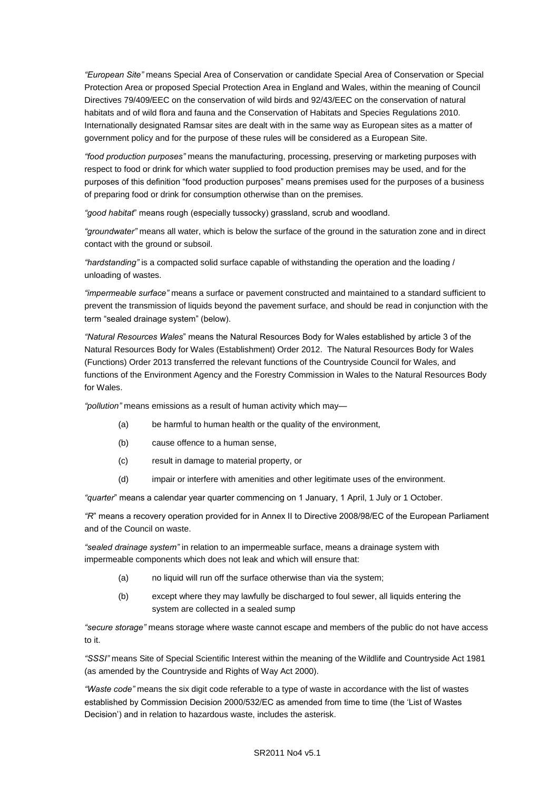*"European Site"* means Special Area of Conservation or candidate Special Area of Conservation or Special Protection Area or proposed Special Protection Area in England and Wales, within the meaning of Council Directives 79/409/EEC on the conservation of wild birds and 92/43/EEC on the conservation of natural habitats and of wild flora and fauna and the Conservation of Habitats and Species Regulations 2010. Internationally designated Ramsar sites are dealt with in the same way as European sites as a matter of government policy and for the purpose of these rules will be considered as a European Site.

*"food production purposes"* means the manufacturing, processing, preserving or marketing purposes with respect to food or drink for which water supplied to food production premises may be used, and for the purposes of this definition "food production purposes" means premises used for the purposes of a business of preparing food or drink for consumption otherwise than on the premises.

*"good habitat*" means rough (especially tussocky) grassland, scrub and woodland.

*"groundwater"* means all water, which is below the surface of the ground in the saturation zone and in direct contact with the ground or subsoil.

*"hardstanding"* is a compacted solid surface capable of withstanding the operation and the loading / unloading of wastes.

*"impermeable surface"* means a surface or pavement constructed and maintained to a standard sufficient to prevent the transmission of liquids beyond the pavement surface, and should be read in conjunction with the term "sealed drainage system" (below).

*"Natural Resources Wales*" means the Natural Resources Body for Wales established by article 3 of the Natural Resources Body for Wales (Establishment) Order 2012. The Natural Resources Body for Wales (Functions) Order 2013 transferred the relevant functions of the Countryside Council for Wales, and functions of the Environment Agency and the Forestry Commission in Wales to the Natural Resources Body for Wales.

*"pollution"* means emissions as a result of human activity which may—

- (a) be harmful to human health or the quality of the environment,
- (b) cause offence to a human sense,
- (c) result in damage to material property, or
- (d) impair or interfere with amenities and other legitimate uses of the environment.

*"quarter*" means a calendar year quarter commencing on 1 January, 1 April, 1 July or 1 October.

*"R*" means a recovery operation provided for in Annex II to Directive 2008/98/EC of the European Parliament and of the Council on waste.

*"sealed drainage system"* in relation to an impermeable surface, means a drainage system with impermeable components which does not leak and which will ensure that:

- (a) no liquid will run off the surface otherwise than via the system;
- (b) except where they may lawfully be discharged to foul sewer, all liquids entering the system are collected in a sealed sump

*"secure storage"* means storage where waste cannot escape and members of the public do not have access to it.

*"SSSI"* means Site of Special Scientific Interest within the meaning of the Wildlife and Countryside Act 1981 (as amended by the Countryside and Rights of Way Act 2000).

*"Waste code"* means the six digit code referable to a type of waste in accordance with the list of wastes established by Commission Decision 2000/532/EC as amended from time to time (the 'List of Wastes Decision') and in relation to hazardous waste, includes the asterisk.